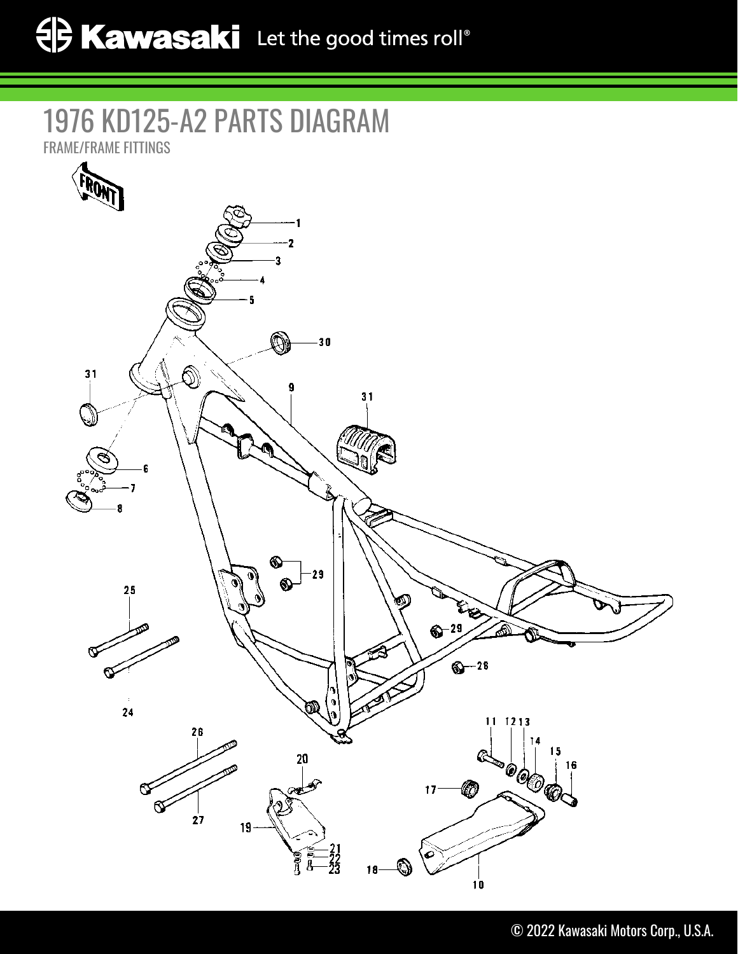## 1976 KD125-A2 PARTS DIAGRAM

FRAME/FRAME FITTINGS

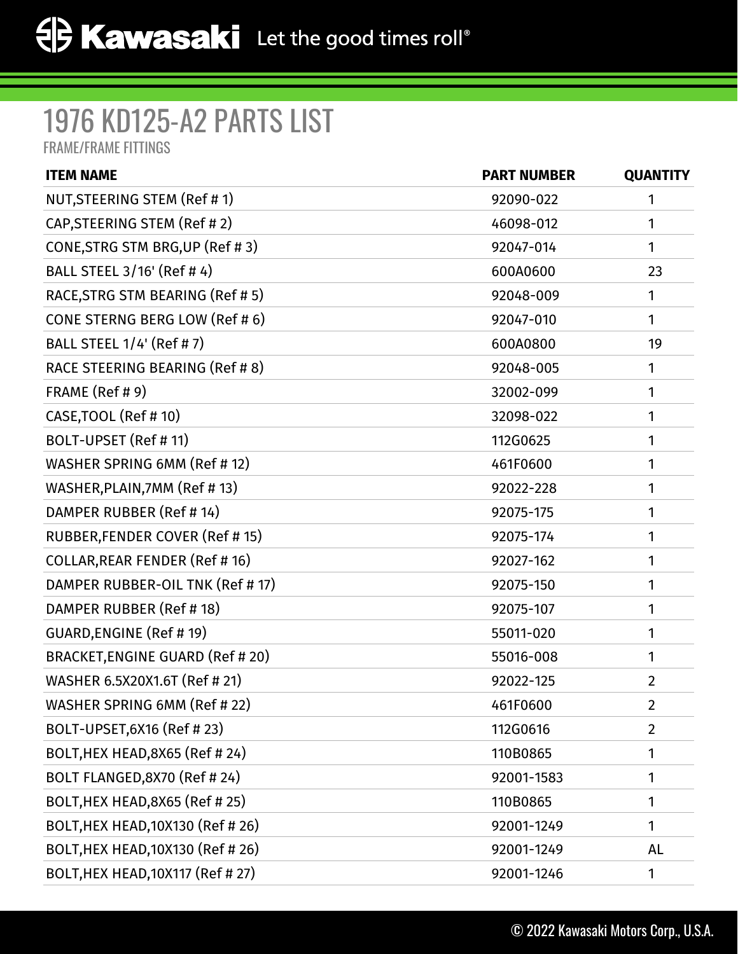## 1976 KD125-A2 PARTS LIST

FRAME/FRAME FITTINGS

| <b>PART NUMBER</b> | <b>QUANTITY</b> |
|--------------------|-----------------|
| 92090-022          | 1               |
| 46098-012          | 1               |
| 92047-014          | 1               |
| 600A0600           | 23              |
| 92048-009          | 1               |
| 92047-010          | 1               |
| 600A0800           | 19              |
| 92048-005          | 1               |
| 32002-099          | 1               |
| 32098-022          | 1               |
| 112G0625           | 1               |
| 461F0600           | 1               |
| 92022-228          | 1               |
| 92075-175          | 1               |
| 92075-174          | 1               |
| 92027-162          | 1               |
| 92075-150          | 1               |
| 92075-107          | 1               |
| 55011-020          | 1               |
| 55016-008          | 1               |
| 92022-125          | $\overline{2}$  |
| 461F0600           | $\overline{2}$  |
| 112G0616           | $\overline{2}$  |
| 110B0865           | 1               |
| 92001-1583         | 1               |
| 110B0865           | 1               |
| 92001-1249         | 1               |
| 92001-1249         | AL              |
| 92001-1246         | 1               |
|                    |                 |